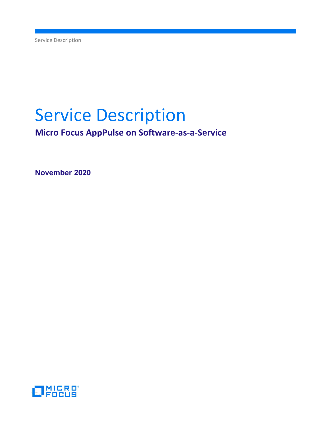Service Description

# Service Description

Micro Focus AppPulse on Software-as-a-Service

November 2020

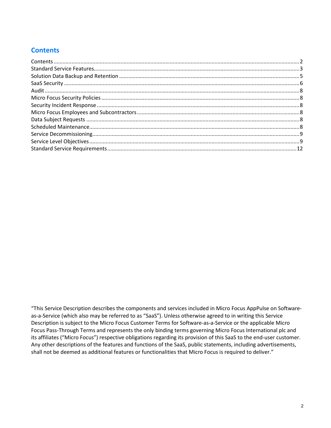# **Contents**

"This Service Description describes the components and services included in Micro Focus AppPulse on Softwareas-a-Service (which also may be referred to as "SaaS"). Unless otherwise agreed to in writing this Service Description is subject to the Micro Focus Customer Terms for Software-as-a-Service or the applicable Micro Focus Pass-Through Terms and represents the only binding terms governing Micro Focus International plc and its affiliates ("Micro Focus") respective obligations regarding its provision of this SaaS to the end-user customer. Any other descriptions of the features and functions of the SaaS, public statements, including advertisements, shall not be deemed as additional features or functionalities that Micro Focus is required to deliver."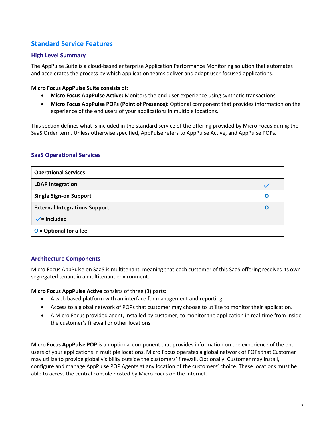# Standard Service Features

## High Level Summary

The AppPulse Suite is a cloud-based enterprise Application Performance Monitoring solution that automates and accelerates the process by which application teams deliver and adapt user-focused applications.

## Micro Focus AppPulse Suite consists of:

- Micro Focus AppPulse Active: Monitors the end-user experience using synthetic transactions.
- Micro Focus AppPulse POPs (Point of Presence): Optional component that provides information on the experience of the end users of your applications in multiple locations.

This section defines what is included in the standard service of the offering provided by Micro Focus during the SaaS Order term. Unless otherwise specified, AppPulse refers to AppPulse Active, and AppPulse POPs.

## SaaS Operational Services

| <b>Operational Services</b>          |   |
|--------------------------------------|---|
| <b>LDAP Integration</b>              |   |
| <b>Single Sign-on Support</b>        | O |
| <b>External Integrations Support</b> | Ω |
| $\checkmark$ = Included              |   |
| $O =$ Optional for a fee             |   |

## Architecture Components

Micro Focus AppPulse on SaaS is multitenant, meaning that each customer of this SaaS offering receives its own segregated tenant in a multitenant environment.

Micro Focus AppPulse Active consists of three (3) parts:

- A web based platform with an interface for management and reporting
- Access to a global network of POPs that customer may choose to utilize to monitor their application.
- A Micro Focus provided agent, installed by customer, to monitor the application in real-time from inside the customer's firewall or other locations

Micro Focus AppPulse POP is an optional component that provides information on the experience of the end users of your applications in multiple locations. Micro Focus operates a global network of POPs that Customer may utilize to provide global visibility outside the customers' firewall. Optionally, Customer may install, configure and manage AppPulse POP Agents at any location of the customers' choice. These locations must be able to access the central console hosted by Micro Focus on the internet.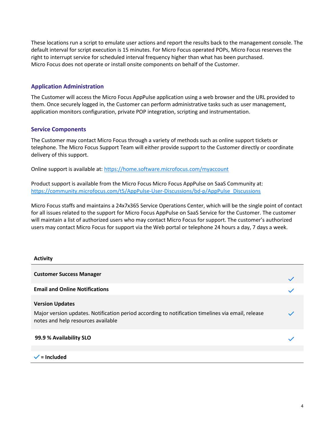These locations run a script to emulate user actions and report the results back to the management console. The default interval for script execution is 15 minutes. For Micro Focus operated POPs, Micro Focus reserves the right to interrupt service for scheduled interval frequency higher than what has been purchased. Micro Focus does not operate or install onsite components on behalf of the Customer.

## Application Administration

The Customer will access the Micro Focus AppPulse application using a web browser and the URL provided to them. Once securely logged in, the Customer can perform administrative tasks such as user management, application monitors configuration, private POP integration, scripting and instrumentation.

## Service Components

The Customer may contact Micro Focus through a variety of methods such as online support tickets or telephone. The Micro Focus Support Team will either provide support to the Customer directly or coordinate delivery of this support.

Online support is available at: https://home.software.microfocus.com/myaccount

Product support is available from the Micro Focus Micro Focus AppPulse on SaaS Community at: https://community.microfocus.com/t5/AppPulse-User-Discussions/bd-p/AppPulse\_Discussions

Micro Focus staffs and maintains a 24x7x365 Service Operations Center, which will be the single point of contact for all issues related to the support for Micro Focus AppPulse on SaaS Service for the Customer. The customer will maintain a list of authorized users who may contact Micro Focus for support. The customer's authorized users may contact Micro Focus for support via the Web portal or telephone 24 hours a day, 7 days a week.

#### Activity

| <b>Customer Success Manager</b>                                                                                                                                   |  |
|-------------------------------------------------------------------------------------------------------------------------------------------------------------------|--|
| <b>Email and Online Notifications</b>                                                                                                                             |  |
| <b>Version Updates</b><br>Major version updates. Notification period according to notification timelines via email, release<br>notes and help resources available |  |
| 99.9 % Availability SLO                                                                                                                                           |  |
| $\checkmark$ = Included                                                                                                                                           |  |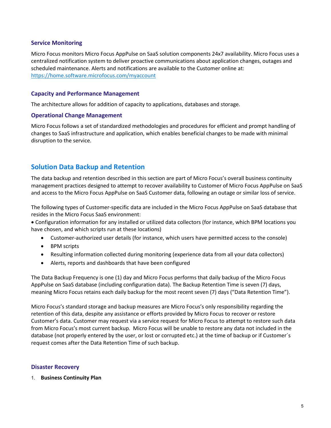## Service Monitoring

Micro Focus monitors Micro Focus AppPulse on SaaS solution components 24x7 availability. Micro Focus uses a centralized notification system to deliver proactive communications about application changes, outages and scheduled maintenance. Alerts and notifications are available to the Customer online at: https://home.software.microfocus.com/myaccount

## Capacity and Performance Management

The architecture allows for addition of capacity to applications, databases and storage.

#### Operational Change Management

Micro Focus follows a set of standardized methodologies and procedures for efficient and prompt handling of changes to SaaS infrastructure and application, which enables beneficial changes to be made with minimal disruption to the service.

# Solution Data Backup and Retention

The data backup and retention described in this section are part of Micro Focus's overall business continuity management practices designed to attempt to recover availability to Customer of Micro Focus AppPulse on SaaS and access to the Micro Focus AppPulse on SaaS Customer data, following an outage or similar loss of service.

The following types of Customer-specific data are included in the Micro Focus AppPulse on SaaS database that resides in the Micro Focus SaaS environment:

Configuration information for any installed or utilized data collectors (for instance, which BPM locations you have chosen, and which scripts run at these locations)

- Customer-authorized user details (for instance, which users have permitted access to the console)
- BPM scripts
- Resulting information collected during monitoring (experience data from all your data collectors)
- Alerts, reports and dashboards that have been configured

The Data Backup Frequency is one (1) day and Micro Focus performs that daily backup of the Micro Focus AppPulse on SaaS database (including configuration data). The Backup Retention Time is seven (7) days, meaning Micro Focus retains each daily backup for the most recent seven (7) days ("Data Retention Time").

Micro Focus's standard storage and backup measures are Micro Focus's only responsibility regarding the retention of this data, despite any assistance or efforts provided by Micro Focus to recover or restore Customer's data. Customer may request via a service request for Micro Focus to attempt to restore such data from Micro Focus's most current backup. Micro Focus will be unable to restore any data not included in the database (not properly entered by the user, or lost or corrupted etc.) at the time of backup or if Customer´s request comes after the Data Retention Time of such backup.

#### Disaster Recovery

1. Business Continuity Plan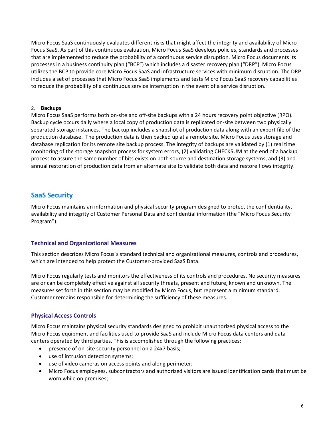Micro Focus SaaS continuously evaluates different risks that might affect the integrity and availability of Micro Focus SaaS. As part of this continuous evaluation, Micro Focus SaaS develops policies, standards and processes that are implemented to reduce the probability of a continuous service disruption. Micro Focus documents its processes in a business continuity plan ("BCP") which includes a disaster recovery plan ("DRP"). Micro Focus utilizes the BCP to provide core Micro Focus SaaS and infrastructure services with minimum disruption. The DRP includes a set of processes that Micro Focus SaaS implements and tests Micro Focus SaaS recovery capabilities to reduce the probability of a continuous service interruption in the event of a service disruption.

#### 2. Backups

Micro Focus SaaS performs both on-site and off-site backups with a 24 hours recovery point objective (RPO). Backup cycle occurs daily where a local copy of production data is replicated on-site between two physically separated storage instances. The backup includes a snapshot of production data along with an export file of the production database. The production data is then backed up at a remote site. Micro Focus uses storage and database replication for its remote site backup process. The integrity of backups are validated by (1) real time monitoring of the storage snapshot process for system errors, (2) validating CHECKSUM at the end of a backup process to assure the same number of bits exists on both source and destination storage systems, and (3) and annual restoration of production data from an alternate site to validate both data and restore flows integrity.

# SaaS Security

Micro Focus maintains an information and physical security program designed to protect the confidentiality, availability and integrity of Customer Personal Data and confidential information (the "Micro Focus Security Program").

## Technical and Organizational Measures

This section describes Micro Focus´s standard technical and organizational measures, controls and procedures, which are intended to help protect the Customer-provided SaaS Data.

Micro Focus regularly tests and monitors the effectiveness of its controls and procedures. No security measures are or can be completely effective against all security threats, present and future, known and unknown. The measures set forth in this section may be modified by Micro Focus, but represent a minimum standard. Customer remains responsible for determining the sufficiency of these measures.

## Physical Access Controls

Micro Focus maintains physical security standards designed to prohibit unauthorized physical access to the Micro Focus equipment and facilities used to provide SaaS and include Micro Focus data centers and data centers operated by third parties. This is accomplished through the following practices:

- presence of on-site security personnel on a 24x7 basis;
- use of intrusion detection systems;
- use of video cameras on access points and along perimeter;
- Micro Focus employees, subcontractors and authorized visitors are issued identification cards that must be worn while on premises;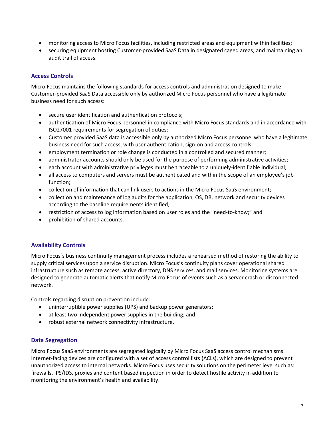- monitoring access to Micro Focus facilities, including restricted areas and equipment within facilities;
- securing equipment hosting Customer-provided SaaS Data in designated caged areas; and maintaining an audit trail of access.

## Access Controls

Micro Focus maintains the following standards for access controls and administration designed to make Customer-provided SaaS Data accessible only by authorized Micro Focus personnel who have a legitimate business need for such access:

- secure user identification and authentication protocols;
- authentication of Micro Focus personnel in compliance with Micro Focus standards and in accordance with ISO27001 requirements for segregation of duties;
- Customer provided SaaS data is accessible only by authorized Micro Focus personnel who have a legitimate business need for such access, with user authentication, sign-on and access controls;
- employment termination or role change is conducted in a controlled and secured manner;
- administrator accounts should only be used for the purpose of performing administrative activities;
- each account with administrative privileges must be traceable to a uniquely-identifiable individual;
- all access to computers and servers must be authenticated and within the scope of an employee's job function;
- collection of information that can link users to actions in the Micro Focus SaaS environment;
- collection and maintenance of log audits for the application, OS, DB, network and security devices according to the baseline requirements identified;
- restriction of access to log information based on user roles and the "need-to-know;" and
- prohibition of shared accounts.

## Availability Controls

Micro Focus´s business continuity management process includes a rehearsed method of restoring the ability to supply critical services upon a service disruption. Micro Focus's continuity plans cover operational shared infrastructure such as remote access, active directory, DNS services, and mail services. Monitoring systems are designed to generate automatic alerts that notify Micro Focus of events such as a server crash or disconnected network.

Controls regarding disruption prevention include:

- uninterruptible power supplies (UPS) and backup power generators;
- at least two independent power supplies in the building; and
- robust external network connectivity infrastructure.

#### Data Segregation

Micro Focus SaaS environments are segregated logically by Micro Focus SaaS access control mechanisms. Internet-facing devices are configured with a set of access control lists (ACLs), which are designed to prevent unauthorized access to internal networks. Micro Focus uses security solutions on the perimeter level such as: firewalls, IPS/IDS, proxies and content based inspection in order to detect hostile activity in addition to monitoring the environment's health and availability.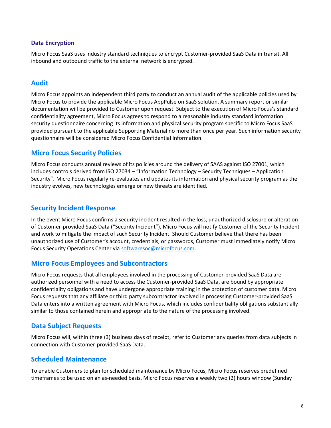## Data Encryption

Micro Focus SaaS uses industry standard techniques to encrypt Customer-provided SaaS Data in transit. All inbound and outbound traffic to the external network is encrypted.

## Audit

Micro Focus appoints an independent third party to conduct an annual audit of the applicable policies used by Micro Focus to provide the applicable Micro Focus AppPulse on SaaS solution. A summary report or similar documentation will be provided to Customer upon request. Subject to the execution of Micro Focus's standard confidentiality agreement, Micro Focus agrees to respond to a reasonable industry standard information security questionnaire concerning its information and physical security program specific to Micro Focus SaaS provided pursuant to the applicable Supporting Material no more than once per year. Such information security questionnaire will be considered Micro Focus Confidential Information.

## Micro Focus Security Policies

Micro Focus conducts annual reviews of its policies around the delivery of SAAS against ISO 27001, which includes controls derived from ISO 27034 – "Information Technology – Security Techniques – Application Security". Micro Focus regularly re-evaluates and updates its information and physical security program as the industry evolves, new technologies emerge or new threats are identified.

## Security Incident Response

In the event Micro Focus confirms a security incident resulted in the loss, unauthorized disclosure or alteration of Customer-provided SaaS Data ("Security Incident"), Micro Focus will notify Customer of the Security Incident and work to mitigate the impact of such Security Incident. Should Customer believe that there has been unauthorized use of Customer's account, credentials, or passwords, Customer must immediately notify Micro Focus Security Operations Center via softwaresoc@microfocus.com.

## Micro Focus Employees and Subcontractors

Micro Focus requests that all employees involved in the processing of Customer-provided SaaS Data are authorized personnel with a need to access the Customer-provided SaaS Data, are bound by appropriate confidentiality obligations and have undergone appropriate training in the protection of customer data. Micro Focus requests that any affiliate or third party subcontractor involved in processing Customer-provided SaaS Data enters into a written agreement with Micro Focus, which includes confidentiality obligations substantially similar to those contained herein and appropriate to the nature of the processing involved.

## Data Subject Requests

Micro Focus will, within three (3) business days of receipt, refer to Customer any queries from data subjects in connection with Customer-provided SaaS Data.

## Scheduled Maintenance

To enable Customers to plan for scheduled maintenance by Micro Focus, Micro Focus reserves predefined timeframes to be used on an as-needed basis. Micro Focus reserves a weekly two (2) hours window (Sunday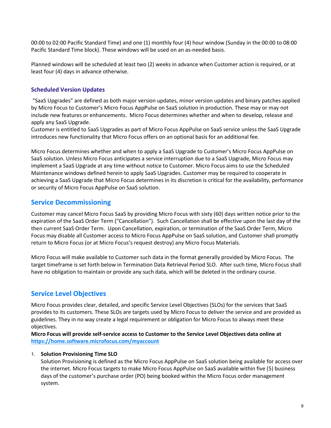00:00 to 02:00 Pacific Standard Time) and one (1) monthly four (4) hour window (Sunday in the 00:00 to 08:00 Pacific Standard Time block). These windows will be used on an as-needed basis.

Planned windows will be scheduled at least two (2) weeks in advance when Customer action is required, or at least four (4) days in advance otherwise.

## Scheduled Version Updates

 "SaaS Upgrades" are defined as both major version updates, minor version updates and binary patches applied by Micro Focus to Customer's Micro Focus AppPulse on SaaS solution in production. These may or may not include new features or enhancements. Micro Focus determines whether and when to develop, release and apply any SaaS Upgrade.

Customer is entitled to SaaS Upgrades as part of Micro Focus AppPulse on SaaS service unless the SaaS Upgrade introduces new functionality that Micro Focus offers on an optional basis for an additional fee.

Micro Focus determines whether and when to apply a SaaS Upgrade to Customer's Micro Focus AppPulse on SaaS solution. Unless Micro Focus anticipates a service interruption due to a SaaS Upgrade, Micro Focus may implement a SaaS Upgrade at any time without notice to Customer. Micro Focus aims to use the Scheduled Maintenance windows defined herein to apply SaaS Upgrades. Customer may be required to cooperate in achieving a SaaS Upgrade that Micro Focus determines in its discretion is critical for the availability, performance or security of Micro Focus AppPulse on SaaS solution.

## Service Decommissioning

Customer may cancel Micro Focus SaaS by providing Micro Focus with sixty (60) days written notice prior to the expiration of the SaaS Order Term ("Cancellation"). Such Cancellation shall be effective upon the last day of the then current SaaS Order Term. Upon Cancellation, expiration, or termination of the SaaS Order Term, Micro Focus may disable all Customer access to Micro Focus AppPulse on SaaS solution, and Customer shall promptly return to Micro Focus (or at Micro Focus's request destroy) any Micro Focus Materials.

Micro Focus will make available to Customer such data in the format generally provided by Micro Focus. The target timeframe is set forth below in Termination Data Retrieval Period SLO. After such time, Micro Focus shall have no obligation to maintain or provide any such data, which will be deleted in the ordinary course.

# Service Level Objectives

Micro Focus provides clear, detailed, and specific Service Level Objectives (SLOs) for the services that SaaS provides to its customers. These SLOs are targets used by Micro Focus to deliver the service and are provided as guidelines. They in no way create a legal requirement or obligation for Micro Focus to always meet these objectives.

Micro Focus will provide self-service access to Customer to the Service Level Objectives data online at https://home.software.microfocus.com/myaccount

## 1. Solution Provisioning Time SLO

Solution Provisioning is defined as the Micro Focus AppPulse on SaaS solution being available for access over the internet. Micro Focus targets to make Micro Focus AppPulse on SaaS available within five (5) business days of the customer's purchase order (PO) being booked within the Micro Focus order management system.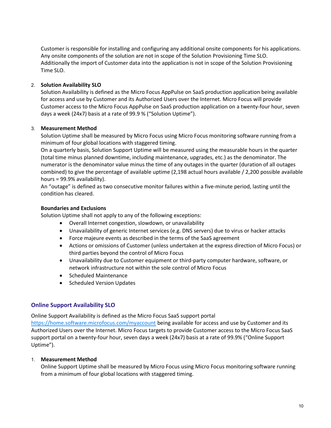Customer is responsible for installing and configuring any additional onsite components for his applications. Any onsite components of the solution are not in scope of the Solution Provisioning Time SLO. Additionally the import of Customer data into the application is not in scope of the Solution Provisioning Time SLO.

## 2. Solution Availability SLO

Solution Availability is defined as the Micro Focus AppPulse on SaaS production application being available for access and use by Customer and its Authorized Users over the Internet. Micro Focus will provide Customer access to the Micro Focus AppPulse on SaaS production application on a twenty-four hour, seven days a week (24x7) basis at a rate of 99.9 % ("Solution Uptime").

#### 3. Measurement Method

Solution Uptime shall be measured by Micro Focus using Micro Focus monitoring software running from a minimum of four global locations with staggered timing.

On a quarterly basis, Solution Support Uptime will be measured using the measurable hours in the quarter (total time minus planned downtime, including maintenance, upgrades, etc.) as the denominator. The numerator is the denominator value minus the time of any outages in the quarter (duration of all outages combined) to give the percentage of available uptime (2,198 actual hours available / 2,200 possible available hours = 99.9% availability).

An "outage" is defined as two consecutive monitor failures within a five-minute period, lasting until the condition has cleared.

#### Boundaries and Exclusions

Solution Uptime shall not apply to any of the following exceptions:

- Overall Internet congestion, slowdown, or unavailability
- Unavailability of generic Internet services (e.g. DNS servers) due to virus or hacker attacks
- Force majeure events as described in the terms of the SaaS agreement
- Actions or omissions of Customer (unless undertaken at the express direction of Micro Focus) or third parties beyond the control of Micro Focus
- Unavailability due to Customer equipment or third-party computer hardware, software, or network infrastructure not within the sole control of Micro Focus
- Scheduled Maintenance
- Scheduled Version Updates

## Online Support Availability SLO

Online Support Availability is defined as the Micro Focus SaaS support portal

https://home.software.microfocus.com/myaccount being available for access and use by Customer and its Authorized Users over the Internet. Micro Focus targets to provide Customer access to the Micro Focus SaaS support portal on a twenty-four hour, seven days a week (24x7) basis at a rate of 99.9% ("Online Support Uptime").

#### 1. Measurement Method

Online Support Uptime shall be measured by Micro Focus using Micro Focus monitoring software running from a minimum of four global locations with staggered timing.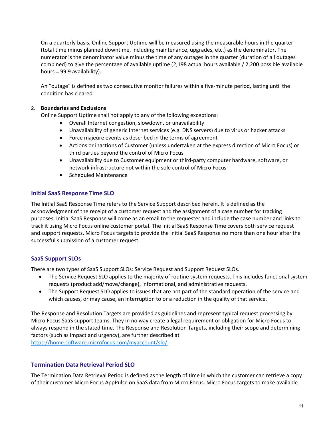On a quarterly basis, Online Support Uptime will be measured using the measurable hours in the quarter (total time minus planned downtime, including maintenance, upgrades, etc.) as the denominator. The numerator is the denominator value minus the time of any outages in the quarter (duration of all outages combined) to give the percentage of available uptime (2,198 actual hours available / 2,200 possible available hours = 99.9 availability).

An "outage" is defined as two consecutive monitor failures within a five-minute period, lasting until the condition has cleared.

## 2. Boundaries and Exclusions

Online Support Uptime shall not apply to any of the following exceptions:

- Overall Internet congestion, slowdown, or unavailability
- Unavailability of generic Internet services (e.g. DNS servers) due to virus or hacker attacks
- Force majeure events as described in the terms of agreement
- Actions or inactions of Customer (unless undertaken at the express direction of Micro Focus) or third parties beyond the control of Micro Focus
- Unavailability due to Customer equipment or third-party computer hardware, software, or network infrastructure not within the sole control of Micro Focus
- Scheduled Maintenance

## Initial SaaS Response Time SLO

The Initial SaaS Response Time refers to the Service Support described herein. It is defined as the acknowledgment of the receipt of a customer request and the assignment of a case number for tracking purposes. Initial SaaS Response will come as an email to the requester and include the case number and links to track it using Micro Focus online customer portal. The Initial SaaS Response Time covers both service request and support requests. Micro Focus targets to provide the Initial SaaS Response no more than one hour after the successful submission of a customer request.

## SaaS Support SLOs

There are two types of SaaS Support SLOs: Service Request and Support Request SLOs.

- The Service Request SLO applies to the majority of routine system requests. This includes functional system requests (product add/move/change), informational, and administrative requests.
- The Support Request SLO applies to issues that are not part of the standard operation of the service and which causes, or may cause, an interruption to or a reduction in the quality of that service.

The Response and Resolution Targets are provided as guidelines and represent typical request processing by Micro Focus SaaS support teams. They in no way create a legal requirement or obligation for Micro Focus to always respond in the stated time. The Response and Resolution Targets, including their scope and determining factors (such as impact and urgency), are further described at https://home.software.microfocus.com/myaccount/slo/.

## Termination Data Retrieval Period SLO

The Termination Data Retrieval Period is defined as the length of time in which the customer can retrieve a copy of their customer Micro Focus AppPulse on SaaS data from Micro Focus. Micro Focus targets to make available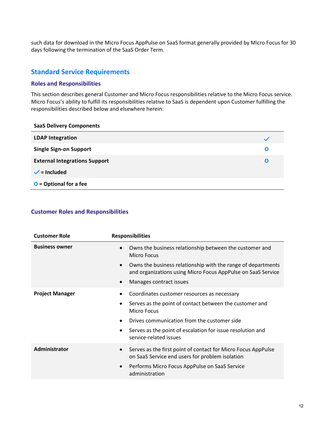such data for download in the Micro Focus AppPulse on SaaS format generally provided by Micro Focus for 30 days following the termination of the SaaS Order Term.

# Standard Service Requirements

## Roles and Responsibilities

This section describes general Customer and Micro Focus responsibilities relative to the Micro Focus service. Micro Focus's ability to fulfill its responsibilities relative to SaaS is dependent upon Customer fulfilling the responsibilities described below and elsewhere herein:

| <b>SaaS Delivery Components</b>      |   |
|--------------------------------------|---|
| <b>LDAP Integration</b>              |   |
| <b>Single Sign-on Support</b>        | O |
| <b>External Integrations Support</b> | O |
| $\checkmark$ = Included              |   |
| $O =$ Optional for a fee             |   |

#### Customer Roles and Responsibilities

| <b>Customer Role</b>   | <b>Responsibilities</b>                                                                                                                   |
|------------------------|-------------------------------------------------------------------------------------------------------------------------------------------|
| <b>Business owner</b>  | Owns the business relationship between the customer and<br>$\bullet$<br>Micro Focus                                                       |
|                        | Owns the business relationship with the range of departments<br>$\bullet$<br>and organizations using Micro Focus AppPulse on SaaS Service |
|                        | Manages contract issues<br>$\bullet$                                                                                                      |
| <b>Project Manager</b> | Coordinates customer resources as necessary<br>Serves as the point of contact between the customer and<br>$\bullet$                       |
|                        | <b>Micro Focus</b>                                                                                                                        |
|                        | Drives communication from the customer side<br>٠                                                                                          |
|                        | Serves as the point of escalation for issue resolution and<br>$\bullet$<br>service-related issues                                         |
| Administrator          | Serves as the first point of contact for Micro Focus AppPulse<br>$\bullet$<br>on SaaS Service end users for problem isolation             |
|                        | Performs Micro Focus AppPulse on SaaS Service<br>$\bullet$<br>administration                                                              |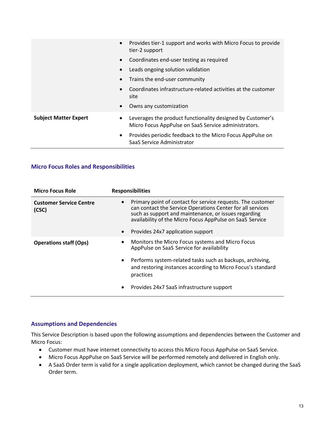|                              | Provides tier-1 support and works with Micro Focus to provide<br>$\bullet$<br>tier-2 support                                    |
|------------------------------|---------------------------------------------------------------------------------------------------------------------------------|
|                              | Coordinates end-user testing as required<br>$\bullet$                                                                           |
|                              | Leads ongoing solution validation<br>$\bullet$                                                                                  |
|                              | Trains the end-user community<br>$\bullet$                                                                                      |
|                              | Coordinates infrastructure-related activities at the customer<br>site                                                           |
|                              | Owns any customization<br>$\bullet$                                                                                             |
| <b>Subject Matter Expert</b> | Leverages the product functionality designed by Customer's<br>$\bullet$<br>Micro Focus AppPulse on SaaS Service administrators. |
|                              | Provides periodic feedback to the Micro Focus AppPulse on<br>$\bullet$<br>SaaS Service Administrator                            |

## Micro Focus Roles and Responsibilities

| <b>Micro Focus Role</b>                 | <b>Responsibilities</b>                                                                                                                                                                                                                                    |
|-----------------------------------------|------------------------------------------------------------------------------------------------------------------------------------------------------------------------------------------------------------------------------------------------------------|
| <b>Customer Service Centre</b><br>(CSC) | Primary point of contact for service requests. The customer<br>$\bullet$<br>can contact the Service Operations Center for all services<br>such as support and maintenance, or issues regarding<br>availability of the Micro Focus AppPulse on SaaS Service |
|                                         | Provides 24x7 application support<br>$\bullet$                                                                                                                                                                                                             |
| <b>Operations staff (Ops)</b>           | Monitors the Micro Focus systems and Micro Focus<br>$\bullet$<br>AppPulse on SaaS Service for availability                                                                                                                                                 |
|                                         | Performs system-related tasks such as backups, archiving,<br>$\bullet$<br>and restoring instances according to Micro Focus's standard<br>practices                                                                                                         |
|                                         | Provides 24x7 SaaS infrastructure support<br>٠                                                                                                                                                                                                             |

## Assumptions and Dependencies

This Service Description is based upon the following assumptions and dependencies between the Customer and Micro Focus:

- Customer must have internet connectivity to access this Micro Focus AppPulse on SaaS Service.
- Micro Focus AppPulse on SaaS Service will be performed remotely and delivered in English only.
- A SaaS Order term is valid for a single application deployment, which cannot be changed during the SaaS Order term.